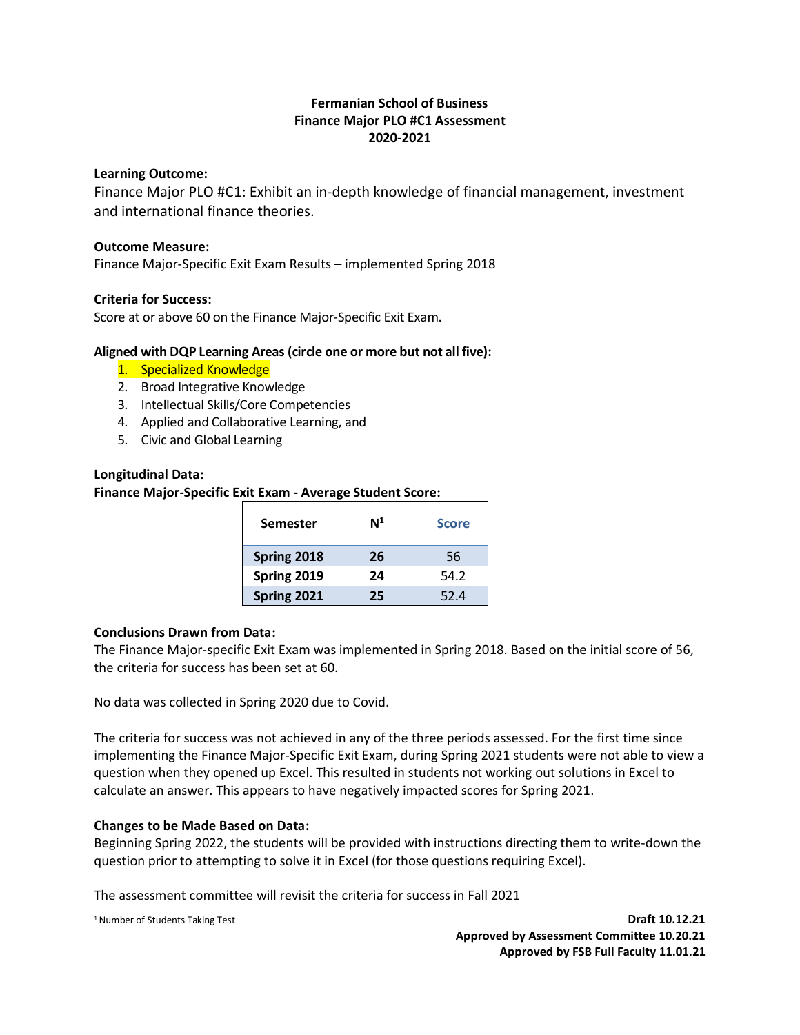## **Fermanian School of Business Finance Major PLO #C1 Assessment 2020-2021**

#### **Learning Outcome:**

Finance Major PLO #C1: Exhibit an in-depth knowledge of financial management, investment and international finance theories.

#### **Outcome Measure:**

Finance Major-Specific Exit Exam Results – implemented Spring 2018

#### **Criteria for Success:**

Score at or above 60 on the Finance Major-Specific Exit Exam.

#### **Aligned with DQP Learning Areas (circle one or more but not all five):**

- 1. Specialized Knowledge
- 2. Broad Integrative Knowledge
- 3. Intellectual Skills/Core Competencies
- 4. Applied and Collaborative Learning, and
- 5. Civic and Global Learning

#### **Longitudinal Data:**

#### **Finance Major-Specific Exit Exam - Average Student Score:**

| <b>Semester</b> | $\mathsf{N}^1$ | <b>Score</b> |
|-----------------|----------------|--------------|
| Spring 2018     | 26             | 56           |
| Spring 2019     | 24             | 54.2         |
| Spring 2021     | 25             | 52.4         |

#### **Conclusions Drawn from Data:**

The Finance Major-specific Exit Exam was implemented in Spring 2018. Based on the initial score of 56, the criteria for success has been set at 60.

No data was collected in Spring 2020 due to Covid.

The criteria for success was not achieved in any of the three periods assessed. For the first time since implementing the Finance Major-Specific Exit Exam, during Spring 2021 students were not able to view a question when they opened up Excel. This resulted in students not working out solutions in Excel to calculate an answer. This appears to have negatively impacted scores for Spring 2021.

#### **Changes to be Made Based on Data:**

Beginning Spring 2022, the students will be provided with instructions directing them to write-down the question prior to attempting to solve it in Excel (for those questions requiring Excel).

The assessment committee will revisit the criteria for success in Fall 2021

<sup>1</sup>Number of Students Taking Test **Draft 10.12.21 Approved by Assessment Committee 10.20.21 Approved by FSB Full Faculty 11.01.21**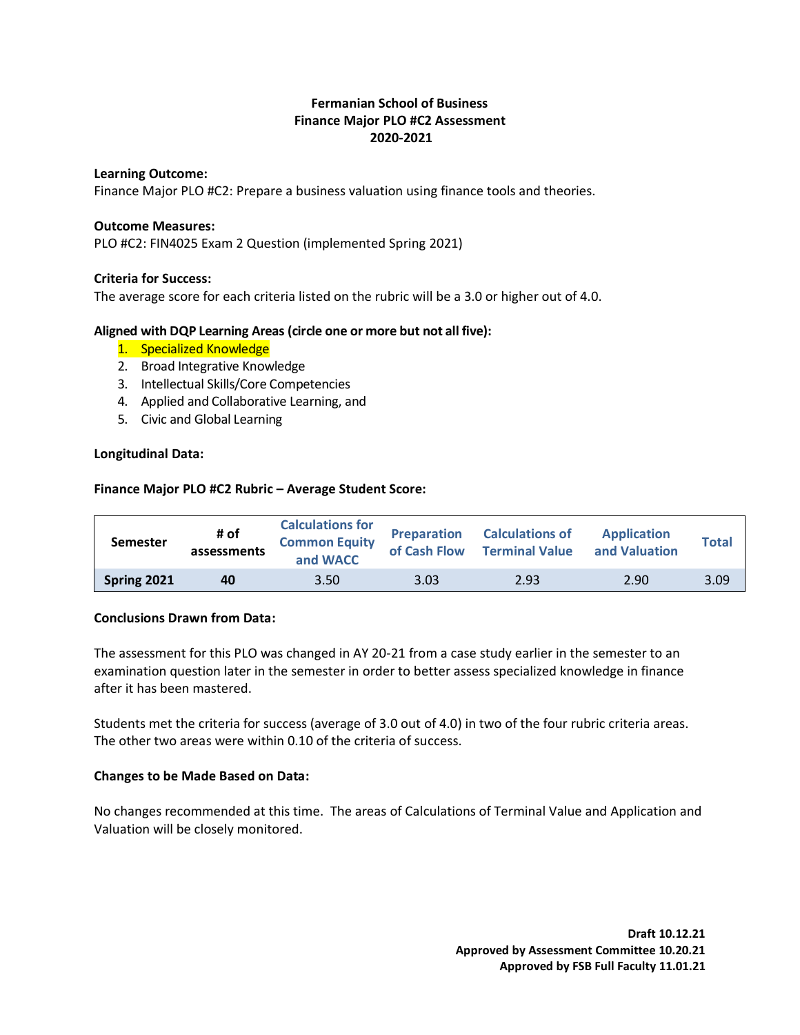## **Fermanian School of Business Finance Major PLO #C2 Assessment 2020-2021**

#### **Learning Outcome:**

Finance Major PLO #C2: Prepare a business valuation using finance tools and theories.

#### **Outcome Measures:**

PLO #C2: FIN4025 Exam 2 Question (implemented Spring 2021)

#### **Criteria for Success:**

The average score for each criteria listed on the rubric will be a 3.0 or higher out of 4.0.

#### **Aligned with DQP Learning Areas (circle one or more but not all five):**

- 1. Specialized Knowledge
- 2. Broad Integrative Knowledge
- 3. Intellectual Skills/Core Competencies
- 4. Applied and Collaborative Learning, and
- 5. Civic and Global Learning

#### **Longitudinal Data:**

#### **Finance Major PLO #C2 Rubric – Average Student Score:**

| <b>Semester</b> | # of<br>assessments | <b>Calculations for</b><br><b>Common Equity</b><br>and WACC | <b>Preparation</b><br>of Cash Flow | <b>Calculations of</b><br><b>Terminal Value</b> | <b>Application</b><br>and Valuation | <b>Total</b> |
|-----------------|---------------------|-------------------------------------------------------------|------------------------------------|-------------------------------------------------|-------------------------------------|--------------|
| Spring 2021     | 40                  | 3.50                                                        | 3.03                               | 2.93                                            | 2.90                                | 3.09         |

#### **Conclusions Drawn from Data:**

The assessment for this PLO was changed in AY 20-21 from a case study earlier in the semester to an examination question later in the semester in order to better assess specialized knowledge in finance after it has been mastered.

Students met the criteria for success (average of 3.0 out of 4.0) in two of the four rubric criteria areas. The other two areas were within 0.10 of the criteria of success.

### **Changes to be Made Based on Data:**

No changes recommended at this time. The areas of Calculations of Terminal Value and Application and Valuation will be closely monitored.